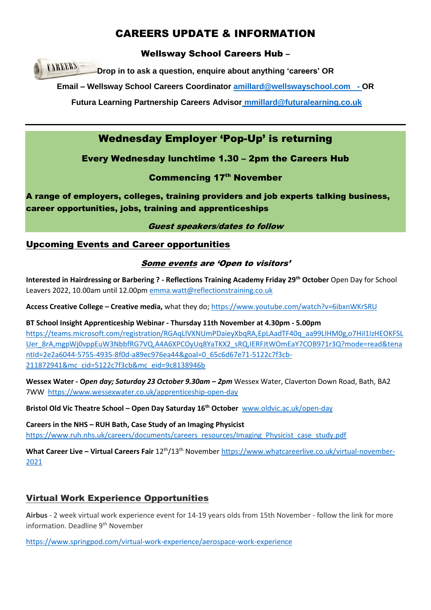# CAREERS UPDATE & INFORMATION

## Wellsway School Careers Hub –

**CAREERS Drop in to ask a question, enquire about anything 'careers' OR**

**Email – Wellsway School Careers Coordinator [amillard@wellswayschool.com](mailto:amillard@wellswayschool.com) - OR** 

**Futura Learning Partnership Careers Advisor [mmillard@futuralearning.co.uk](mailto:mmillard@futuralearning.co.uk)**

# Wednesday Employer 'Pop-Up' is returning

# Every Wednesday lunchtime 1.30 – 2pm the Careers Hub

# **Commencing 17th November**

A range of employers, colleges, training providers and job experts talking business, career opportunities, jobs, training and apprenticeships

### Guest speakers/dates to follow

## Upcoming Events and Career opportunities

### Some events are 'Open to visitors'

**Interested in Hairdressing or Barbering ? - Reflections Training Academy Friday 29th October** Open Day for School Leavers 2022, 10.00am until 12.00pm [emma.watt@reflectionstraining.co.uk](mailto:emma.watt@reflectionstraining.co.uk)

**Access Creative College – Creative media,** what they do;<https://www.youtube.com/watch?v=6ibxnWKrSRU>

**BT School Insight Apprenticeship Webinar - Thursday 11th November at 4.30pm - 5.00pm** [https://teams.microsoft.com/registration/RGAqLlVXNUmPDaieyXbqRA,EpLAadTF40q\\_aa99LIHM0g,o7HiI1IzHEOKFSL](https://teams.microsoft.com/registration/RGAqLlVXNUmPDaieyXbqRA,EpLAadTF40q_aa99LIHM0g,o7HiI1IzHEOKFSLUer_8rA,mgpWj0vppEuW3NbbfRG7VQ,A4A6XPCOyUq8YaTKX2_sRQ,IERFJtWOmEaY7COB971r3Q?mode=read&tenantId=2e2a6044-5755-4935-8f0d-a89ec976ea44&goal=0_65c6d67e71-5122c7f3cb-211872941&mc_cid=5122c7f3cb&mc_eid=9c8138946b) [Uer\\_8rA,mgpWj0vppEuW3NbbfRG7VQ,A4A6XPCOyUq8YaTKX2\\_sRQ,IERFJtWOmEaY7COB971r3Q?mode=read&tena](https://teams.microsoft.com/registration/RGAqLlVXNUmPDaieyXbqRA,EpLAadTF40q_aa99LIHM0g,o7HiI1IzHEOKFSLUer_8rA,mgpWj0vppEuW3NbbfRG7VQ,A4A6XPCOyUq8YaTKX2_sRQ,IERFJtWOmEaY7COB971r3Q?mode=read&tenantId=2e2a6044-5755-4935-8f0d-a89ec976ea44&goal=0_65c6d67e71-5122c7f3cb-211872941&mc_cid=5122c7f3cb&mc_eid=9c8138946b) [ntId=2e2a6044-5755-4935-8f0d-a89ec976ea44&goal=0\\_65c6d67e71-5122c7f3cb-](https://teams.microsoft.com/registration/RGAqLlVXNUmPDaieyXbqRA,EpLAadTF40q_aa99LIHM0g,o7HiI1IzHEOKFSLUer_8rA,mgpWj0vppEuW3NbbfRG7VQ,A4A6XPCOyUq8YaTKX2_sRQ,IERFJtWOmEaY7COB971r3Q?mode=read&tenantId=2e2a6044-5755-4935-8f0d-a89ec976ea44&goal=0_65c6d67e71-5122c7f3cb-211872941&mc_cid=5122c7f3cb&mc_eid=9c8138946b)[211872941&mc\\_cid=5122c7f3cb&mc\\_eid=9c8138946b](https://teams.microsoft.com/registration/RGAqLlVXNUmPDaieyXbqRA,EpLAadTF40q_aa99LIHM0g,o7HiI1IzHEOKFSLUer_8rA,mgpWj0vppEuW3NbbfRG7VQ,A4A6XPCOyUq8YaTKX2_sRQ,IERFJtWOmEaY7COB971r3Q?mode=read&tenantId=2e2a6044-5755-4935-8f0d-a89ec976ea44&goal=0_65c6d67e71-5122c7f3cb-211872941&mc_cid=5122c7f3cb&mc_eid=9c8138946b)

**Wessex Water - O***pen day; Saturday 23 October 9.30am – 2pm* Wessex Water, Claverton Down Road, Bath, BA2 7WW <https://www.wessexwater.co.uk/apprenticeship-open-day>

**Bristol Old Vic Theatre School – Open Day Saturday 16th October** [www.oldvic.ac.uk/open-day](http://www.oldvic.ac.uk/open-day)

**Careers in the NHS – RUH Bath, Case Study of an Imaging Physicist** [https://www.ruh.nhs.uk/careers/documents/careers\\_resources/Imaging\\_Physicist\\_case\\_study.pdf](https://www.ruh.nhs.uk/careers/documents/careers_resources/Imaging_Physicist_case_study.pdf)

What Career Live – Virtual Careers Fair 12<sup>th</sup>/13<sup>th</sup> Novembe[r https://www.whatcareerlive.co.uk/virtual-november-](https://www.whatcareerlive.co.uk/virtual-november-2021)[2021](https://www.whatcareerlive.co.uk/virtual-november-2021)

# Virtual Work Experience Opportunities

**Airbus** - 2 week virtual work experience event for 14-19 years olds from 15th November - follow the link for more information. Deadline 9<sup>th</sup> November

<https://www.springpod.com/virtual-work-experience/aerospace-work-experience>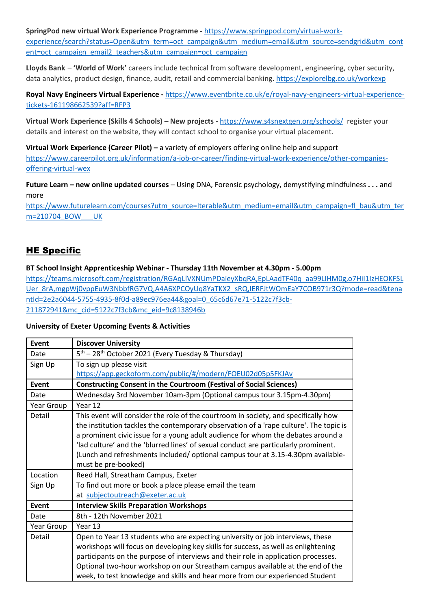**SpringPod new virtual Work Experience Programme -** [https://www.springpod.com/virtual-work-](https://www.springpod.com/virtual-work-experience/search?status=Open&utm_term=oct_campaign&utm_medium=email&utm_source=sendgrid&utm_content=oct_campaign_email2_teachers&utm_campaign=oct_campaign)

[experience/search?status=Open&utm\\_term=oct\\_campaign&utm\\_medium=email&utm\\_source=sendgrid&utm\\_cont](https://www.springpod.com/virtual-work-experience/search?status=Open&utm_term=oct_campaign&utm_medium=email&utm_source=sendgrid&utm_content=oct_campaign_email2_teachers&utm_campaign=oct_campaign) [ent=oct\\_campaign\\_email2\\_teachers&utm\\_campaign=oct\\_campaign](https://www.springpod.com/virtual-work-experience/search?status=Open&utm_term=oct_campaign&utm_medium=email&utm_source=sendgrid&utm_content=oct_campaign_email2_teachers&utm_campaign=oct_campaign)

**Lloyds Bank** – **'World of Work'** careers include technical from software development, engineering, cyber security, data analytics, product design, finance, audit, retail and commercial banking. <https://explorelbg.co.uk/workexp>

**Royal Navy Engineers Virtual Experience -** [https://www.eventbrite.co.uk/e/royal-navy-engineers-virtual-experience](https://www.eventbrite.co.uk/e/royal-navy-engineers-virtual-experience-tickets-161198662539?aff=RFP3)[tickets-161198662539?aff=RFP3](https://www.eventbrite.co.uk/e/royal-navy-engineers-virtual-experience-tickets-161198662539?aff=RFP3)

**Virtual Work Experience (Skills 4 Schools) – New projects -** <https://www.s4snextgen.org/schools/>register your details and interest on the website, they will contact school to organise your virtual placement.

**Virtual Work Experience (Career Pilot) –** a variety of employers offering online help and support [https://www.careerpilot.org.uk/information/a-job-or-career/finding-virtual-work-experience/other-companies](https://www.careerpilot.org.uk/information/a-job-or-career/finding-virtual-work-experience/other-companies-offering-virtual-wex)[offering-virtual-wex](https://www.careerpilot.org.uk/information/a-job-or-career/finding-virtual-work-experience/other-companies-offering-virtual-wex)

**Future Learn – new online updated courses** – Using DNA, Forensic psychology, demystifying mindfulness **. . .** and more

[https://www.futurelearn.com/courses?utm\\_source=Iterable&utm\\_medium=email&utm\\_campaign=fl\\_bau&utm\\_ter](https://www.futurelearn.com/courses?utm_source=Iterable&utm_medium=email&utm_campaign=fl_bau&utm_term=210704_BOW___UK) [m=210704\\_BOW\\_\\_\\_UK](https://www.futurelearn.com/courses?utm_source=Iterable&utm_medium=email&utm_campaign=fl_bau&utm_term=210704_BOW___UK)

# HE Specific

#### **BT School Insight Apprenticeship Webinar - Thursday 11th November at 4.30pm - 5.00pm**

[https://teams.microsoft.com/registration/RGAqLlVXNUmPDaieyXbqRA,EpLAadTF40q\\_aa99LIHM0g,o7HiI1IzHEOKFSL](https://teams.microsoft.com/registration/RGAqLlVXNUmPDaieyXbqRA,EpLAadTF40q_aa99LIHM0g,o7HiI1IzHEOKFSLUer_8rA,mgpWj0vppEuW3NbbfRG7VQ,A4A6XPCOyUq8YaTKX2_sRQ,IERFJtWOmEaY7COB971r3Q?mode=read&tenantId=2e2a6044-5755-4935-8f0d-a89ec976ea44&goal=0_65c6d67e71-5122c7f3cb-211872941&mc_cid=5122c7f3cb&mc_eid=9c8138946b) [Uer\\_8rA,mgpWj0vppEuW3NbbfRG7VQ,A4A6XPCOyUq8YaTKX2\\_sRQ,IERFJtWOmEaY7COB971r3Q?mode=read&tena](https://teams.microsoft.com/registration/RGAqLlVXNUmPDaieyXbqRA,EpLAadTF40q_aa99LIHM0g,o7HiI1IzHEOKFSLUer_8rA,mgpWj0vppEuW3NbbfRG7VQ,A4A6XPCOyUq8YaTKX2_sRQ,IERFJtWOmEaY7COB971r3Q?mode=read&tenantId=2e2a6044-5755-4935-8f0d-a89ec976ea44&goal=0_65c6d67e71-5122c7f3cb-211872941&mc_cid=5122c7f3cb&mc_eid=9c8138946b) [ntId=2e2a6044-5755-4935-8f0d-a89ec976ea44&goal=0\\_65c6d67e71-5122c7f3cb-](https://teams.microsoft.com/registration/RGAqLlVXNUmPDaieyXbqRA,EpLAadTF40q_aa99LIHM0g,o7HiI1IzHEOKFSLUer_8rA,mgpWj0vppEuW3NbbfRG7VQ,A4A6XPCOyUq8YaTKX2_sRQ,IERFJtWOmEaY7COB971r3Q?mode=read&tenantId=2e2a6044-5755-4935-8f0d-a89ec976ea44&goal=0_65c6d67e71-5122c7f3cb-211872941&mc_cid=5122c7f3cb&mc_eid=9c8138946b)[211872941&mc\\_cid=5122c7f3cb&mc\\_eid=9c8138946b](https://teams.microsoft.com/registration/RGAqLlVXNUmPDaieyXbqRA,EpLAadTF40q_aa99LIHM0g,o7HiI1IzHEOKFSLUer_8rA,mgpWj0vppEuW3NbbfRG7VQ,A4A6XPCOyUq8YaTKX2_sRQ,IERFJtWOmEaY7COB971r3Q?mode=read&tenantId=2e2a6044-5755-4935-8f0d-a89ec976ea44&goal=0_65c6d67e71-5122c7f3cb-211872941&mc_cid=5122c7f3cb&mc_eid=9c8138946b)

#### **University of Exeter Upcoming Events & Activities**

| Event        | <b>Discover University</b>                                                                                                                                                                                                                                                                                                                                                                                                                                          |
|--------------|---------------------------------------------------------------------------------------------------------------------------------------------------------------------------------------------------------------------------------------------------------------------------------------------------------------------------------------------------------------------------------------------------------------------------------------------------------------------|
| Date         | $5th$ – 28 <sup>th</sup> October 2021 (Every Tuesday & Thursday)                                                                                                                                                                                                                                                                                                                                                                                                    |
| Sign Up      | To sign up please visit                                                                                                                                                                                                                                                                                                                                                                                                                                             |
|              | https://app.geckoform.com/public/#/modern/FOEU02d05p5FKJAv                                                                                                                                                                                                                                                                                                                                                                                                          |
| Event        | <b>Constructing Consent in the Courtroom (Festival of Social Sciences)</b>                                                                                                                                                                                                                                                                                                                                                                                          |
| Date         | Wednesday 3rd November 10am-3pm (Optional campus tour 3.15pm-4.30pm)                                                                                                                                                                                                                                                                                                                                                                                                |
| Year Group   | Year 12                                                                                                                                                                                                                                                                                                                                                                                                                                                             |
| Detail       | This event will consider the role of the courtroom in society, and specifically how<br>the institution tackles the contemporary observation of a 'rape culture'. The topic is<br>a prominent civic issue for a young adult audience for whom the debates around a<br>'lad culture' and the 'blurred lines' of sexual conduct are particularly prominent.<br>(Lunch and refreshments included/ optional campus tour at 3.15-4.30pm available-<br>must be pre-booked) |
| Location     | Reed Hall, Streatham Campus, Exeter                                                                                                                                                                                                                                                                                                                                                                                                                                 |
| Sign Up      | To find out more or book a place please email the team                                                                                                                                                                                                                                                                                                                                                                                                              |
|              | at subjectoutreach@exeter.ac.uk                                                                                                                                                                                                                                                                                                                                                                                                                                     |
| <b>Event</b> | <b>Interview Skills Preparation Workshops</b>                                                                                                                                                                                                                                                                                                                                                                                                                       |
| Date         | 8th - 12th November 2021                                                                                                                                                                                                                                                                                                                                                                                                                                            |
| Year Group   | Year 13                                                                                                                                                                                                                                                                                                                                                                                                                                                             |
| Detail       | Open to Year 13 students who are expecting university or job interviews, these<br>workshops will focus on developing key skills for success, as well as enlightening<br>participants on the purpose of interviews and their role in application processes.<br>Optional two-hour workshop on our Streatham campus available at the end of the<br>week, to test knowledge and skills and hear more from our experienced Student                                       |